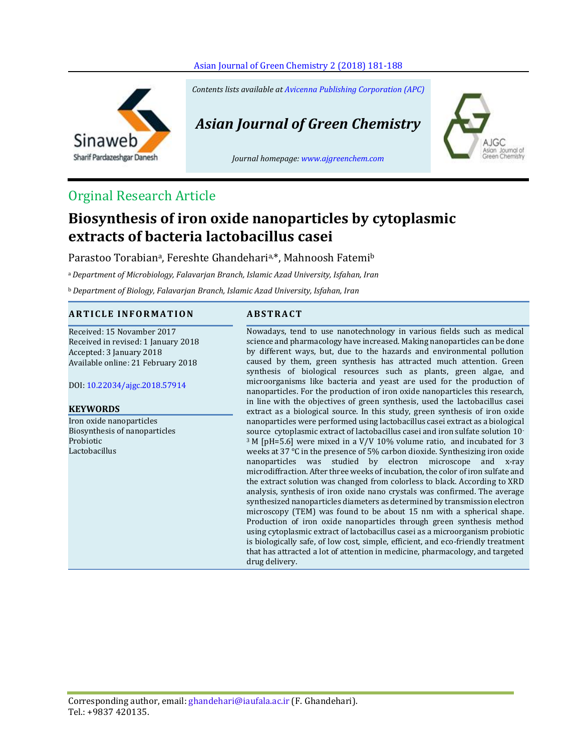

Sinaweb Sharif Pardazeshgar Danesh *Contents lists available a[t Avicenna Publishing Corporation \(APC\)](http://www.avicenna.pub/)*

*Asian Journal of Green Chemistry*

*Journal homepage[: www.ajgreenchem.com](http://www.ajgreenchem.com/)*



# Orginal Research Article

# **Biosynthesis of iron oxide nanoparticles by cytoplasmic extracts of bacteria lactobacillus casei**

Parastoo Torabian<sup>a</sup>, Fereshte Ghandehari<sup>a,\*</sup>, Mahnoosh Fatemi<sup>b</sup>

<sup>a</sup> *Department of Microbiology, Falavarjan Branch, Islamic Azad University, Isfahan, Iran*

<sup>b</sup> *Department of Biology, Falavarjan Branch, Islamic Azad University, Isfahan, Iran*

## **A R T I C L E I N F O R M A T I O N A B S T R A C T**

Received: 15 Novamber 2017 Received in revised: 1 January 2018 Accepted: 3 January 2018 Available online: 21 February 2018

DOI: [10.22034/ajgc.2018.57914](http://www.ajgreenchem.com/article_57914.html)

### **KEYWORDS**

Iron oxide nanoparticles Biosynthesis of nanoparticles Probiotic Lactobacillus

Nowadays, tend to use nanotechnology in various fields such as medical science and pharmacology have increased. Making nanoparticles can be done by different ways, but, due to the hazards and environmental pollution caused by them, green synthesis has attracted much attention. Green synthesis of biological resources such as plants, green algae, and microorganisms like bacteria and yeast are used for the production of nanoparticles. For the production of iron oxide nanoparticles this research, in line with the objectives of green synthesis, used the lactobacillus casei extract as a biological source. In this study, green synthesis of iron oxide nanoparticles were performed using lactobacillus casei extract as a biological source cytoplasmic extract of lactobacillus casei and iron sulfate solution 10- <sup>3</sup> M [pH=5.6] were mixed in a V/V 10% volume ratio, and incubated for 3 weeks at 37 °C in the presence of 5% carbon dioxide. Synthesizing iron oxide nanoparticles was studied by electron microscope and x-ray microdiffraction. After three weeks of incubation, the color of iron sulfate and the extract solution was changed from colorless to black. According to XRD analysis, synthesis of iron oxide nano crystals was confirmed. The average synthesized nanoparticles diameters as determined by transmission electron microscopy (TEM) was found to be about 15 nm with a spherical shape. Production of iron oxide nanoparticles through green synthesis method using cytoplasmic extract of lactobacillus casei as a microorganism probiotic is biologically safe, of low cost, simple, efficient, and eco-friendly treatment that has attracted a lot of attention in medicine, pharmacology, and targeted drug delivery.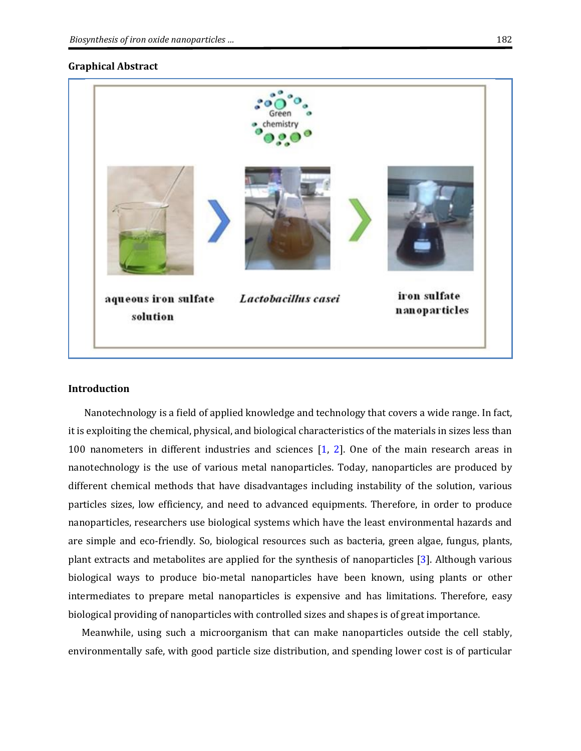### **Graphical Abstract**

| ្គូខ<br>Green<br>· chemistry                            |                               |
|---------------------------------------------------------|-------------------------------|
|                                                         |                               |
| aqueous iron sulfate<br>Lactobacillus casei<br>solution | iron sulfate<br>nanoparticles |

#### **Introduction**

Nanotechnology is a field of applied knowledge and technology that covers a wide range. In fact, it is exploiting the chemical, physical, and biological characteristics of the materials in sizes less than 100 nanometers in different industries and sciences [\[1,](#page-6-0) [2\]](#page-6-1). One of the main research areas in nanotechnology is the use of various metal nanoparticles. Today, nanoparticles are produced by different chemical methods that have disadvantages including instability of the solution, various particles sizes, low efficiency, and need to advanced equipments. Therefore, in order to produce nanoparticles, researchers use biological systems which have the least environmental hazards and are simple and eco-friendly. So, biological resources such as bacteria, green algae, fungus, plants, plant extracts and metabolites are applied for the synthesis of nanoparticles [\[3\]](#page-6-2). Although various biological ways to produce bio-metal nanoparticles have been known, using plants or other intermediates to prepare metal nanoparticles is expensive and has limitations. Therefore, easy biological providing of nanoparticles with controlled sizes and shapes is of great importance.

Meanwhile, using such a microorganism that can make nanoparticles outside the cell stably, environmentally safe, with good particle size distribution, and spending lower cost is of particular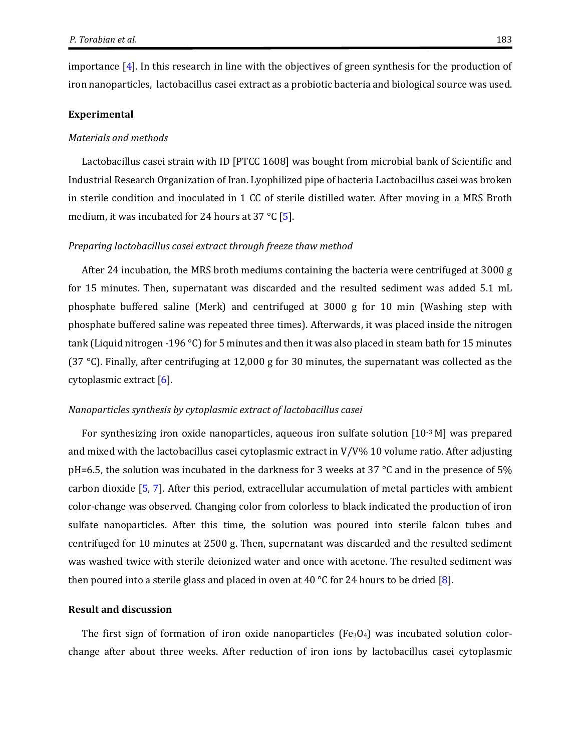importance [\[4\]](#page-6-3). In this research in line with the objectives of green synthesis for the production of iron nanoparticles, lactobacillus casei extract as a probiotic bacteria and biological source was used.

#### **Experimental**

#### *Materials and methods*

Lactobacillus casei strain with ID [PTCC 1608] was bought from microbial bank of Scientific and Industrial Research Organization of Iran. Lyophilized pipe of bacteria Lactobacillus casei was broken in sterile condition and inoculated in 1 CC of sterile distilled water. After moving in a MRS Broth medium, it was incubated for 24 hours at 37 °C [\[5\]](#page-6-4).

#### *Preparing lactobacillus casei extract through freeze thaw method*

After 24 incubation, the MRS broth mediums containing the bacteria were centrifuged at 3000 g for 15 minutes. Then, supernatant was discarded and the resulted sediment was added 5.1 mL phosphate buffered saline (Merk) and centrifuged at 3000 g for 10 min (Washing step with phosphate buffered saline was repeated three times). Afterwards, it was placed inside the nitrogen tank (Liquid nitrogen -196 °C) for 5 minutes and then it was also placed in steam bath for 15 minutes (37 °C). Finally, after centrifuging at 12,000 g for 30 minutes, the supernatant was collected as the cytoplasmic extract [\[6\]](#page-6-5).

#### *Nanoparticles synthesis by cytoplasmic extract of lactobacillus casei*

For synthesizing iron oxide nanoparticles, aqueous iron sulfate solution [10<sup>-3</sup> M] was prepared and mixed with the lactobacillus casei cytoplasmic extract in V/V% 10 volume ratio. After adjusting pH=6.5, the solution was incubated in the darkness for 3 weeks at 37 °C and in the presence of 5% carbon dioxide [\[5,](#page-6-4) [7\]](#page-6-6). After this period, extracellular accumulation of metal particles with ambient color-change was observed. Changing color from colorless to black indicated the production of iron sulfate nanoparticles. After this time, the solution was poured into sterile falcon tubes and centrifuged for 10 minutes at 2500 g. Then, supernatant was discarded and the resulted sediment was washed twice with sterile deionized water and once with acetone. The resulted sediment was then poured into a sterile glass and placed in oven at 40 °C for 24 hours to be dried [\[8\]](#page-6-7).

# **Result and discussion**

The first sign of formation of iron oxide nanoparticles (Fe<sub>3</sub>O<sub>4</sub>) was incubated solution colorchange after about three weeks. After reduction of iron ions by lactobacillus casei cytoplasmic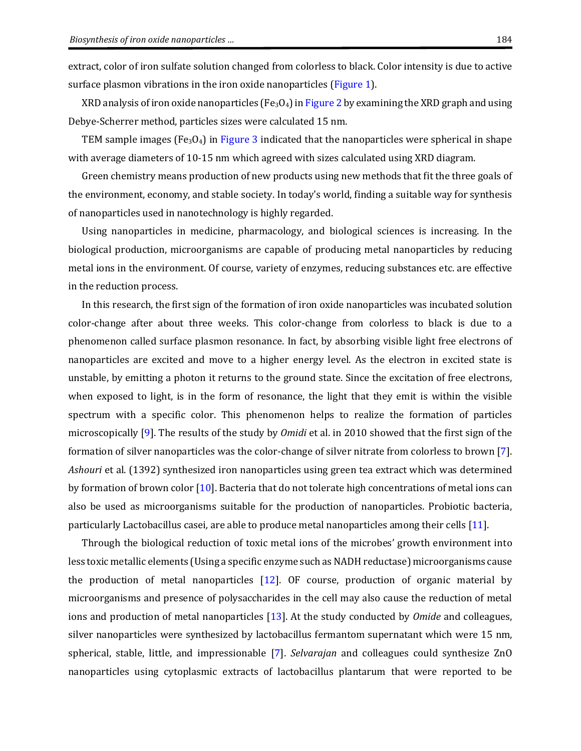<span id="page-3-0"></span>extract, color of iron sulfate solution changed from colorless to black. Color intensity is due to active surface plasmon vibrations in the iron oxide nanoparticles [\(Figure 1\)](#page-3-0).

XRD analysis of iron oxide nanoparticles (Fe<sub>3</sub>O<sub>4</sub>) i[n Figure 2](#page-5-0) by examining the XRD graph and using Debye-Scherrer method, particles sizes were calculated 15 nm.

TEM sample images (Fe<sub>3</sub>O<sub>4</sub>) in [Figure 3](#page-5-1) indicated that the nanoparticles were spherical in shape with average diameters of 10-15 nm which agreed with sizes calculated using XRD diagram.

Green chemistry means production of new products using new methods that fit the three goals of the environment, economy, and stable society. In today's world, finding a suitable way for synthesis of nanoparticles used in nanotechnology is highly regarded.

Using nanoparticles in medicine, pharmacology, and biological sciences is increasing. In the biological production, microorganisms are capable of producing metal nanoparticles by reducing metal ions in the environment. Of course, variety of enzymes, reducing substances etc. are effective in the reduction process.

In this research, the first sign of the formation of iron oxide nanoparticles was incubated solution color-change after about three weeks. This color-change from colorless to black is due to a phenomenon called surface plasmon resonance. In fact, by absorbing visible light free electrons of nanoparticles are excited and move to a higher energy level. As the electron in excited state is unstable, by emitting a photon it returns to the ground state. Since the excitation of free electrons, when exposed to light, is in the form of resonance, the light that they emit is within the visible spectrum with a specific color. This phenomenon helps to realize the formation of particles microscopically [\[9\]](#page-6-8). The results of the study by *Omidi* et al. in 2010 showed that the first sign of the formation of silver nanoparticles was the color-change of silver nitrate from colorless to brown [\[7\]](#page-6-6). *Ashouri* et al. (1392) synthesized iron nanoparticles using green tea extract which was determined by formation of brown color [\[10\]](#page-6-9). Bacteria that do not tolerate high concentrations of metal ions can also be used as microorganisms suitable for the production of nanoparticles. Probiotic bacteria, particularly Lactobacillus casei*,* are able to produce metal nanoparticles among their cells [\[11\]](#page-6-10).

Through the biological reduction of toxic metal ions of the microbes' growth environment into less toxic metallic elements (Using a specific enzyme such as NADH reductase) microorganisms cause the production of metal nanoparticles  $[12]$ . OF course, production of organic material by microorganisms and presence of polysaccharides in the cell may also cause the reduction of metal ions and production of metal nanoparticles [\[13\]](#page-6-12). At the study conducted by *Omide* and colleagues, silver nanoparticles were synthesized by lactobacillus fermantom supernatant which were 15 nm, spherical, stable, little, and impressionable [\[7\]](#page-6-6). *Selvarajan* and colleagues could synthesize ZnO nanoparticles using cytoplasmic extracts of lactobacillus plantarum that were reported to be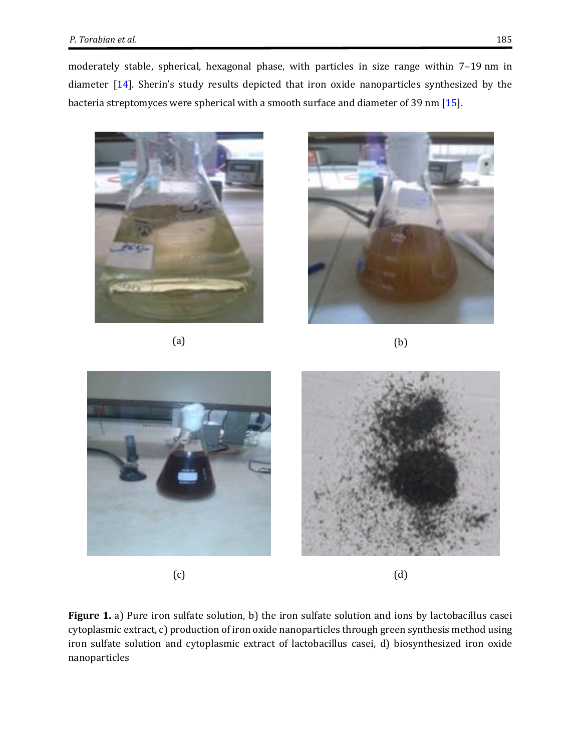moderately stable, spherical, hexagonal phase, with particles in size range within 7-19 nm in diameter [\[14\]](#page-6-13). Sherin's study results depicted that iron oxide nanoparticles synthesized by the bacteria streptomyces were spherical with a smooth surface and diameter of 39 nm [\[15\]](#page-6-14).



 $(a)$  (b)







 $(c)$  (d)

**Figure 1.** a) Pure iron sulfate solution, b) the iron sulfate solution and ions by lactobacillus casei cytoplasmic extract, c) production of iron oxide nanoparticles through green synthesis method using iron sulfate solution and cytoplasmic extract of lactobacillus casei*,* d) biosynthesized iron oxide nanoparticles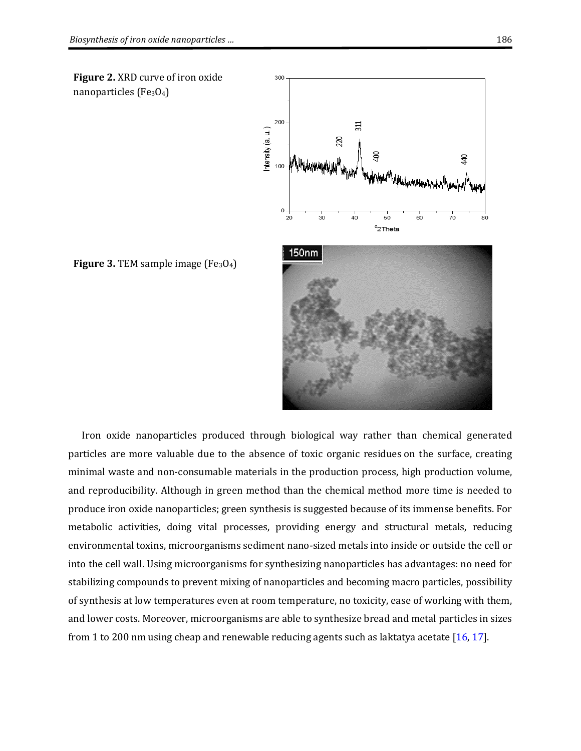<span id="page-5-0"></span>**Figure 2.** XRD curve of iron oxide nanoparticles ( $Fe<sub>3</sub>O<sub>4</sub>$ )



<span id="page-5-1"></span>**Figure 3. TEM sample image (Fe<sub>3</sub>O<sub>4</sub>)** 

Iron oxide nanoparticles produced through biological way rather than chemical generated particles are more valuable due to the absence of toxic organic residues on the surface, creating minimal waste and non-consumable materials in the production process, high production volume, and reproducibility. Although in green method than the chemical method more time is needed to produce iron oxide nanoparticles; green synthesis is suggested because of its immense benefits. For metabolic activities, doing vital processes, providing energy and structural metals, reducing environmental toxins, microorganisms sediment nano-sized metals into inside or outside the cell or into the cell wall. Using microorganisms for synthesizing nanoparticles has advantages: no need for stabilizing compounds to prevent mixing of nanoparticles and becoming macro particles, possibility of synthesis at low temperatures even at room temperature, no toxicity, ease of working with them, and lower costs. Moreover, microorganisms are able to synthesize bread and metal particles in sizes from 1 to 200 nm using cheap and renewable reducing agents such as laktatya acetate  $[16, 17]$  $[16, 17]$ .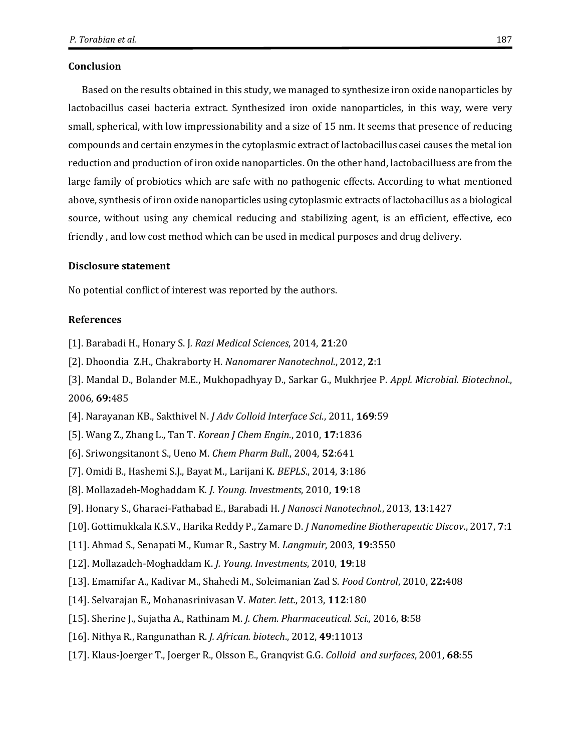### **Conclusion**

Based on the results obtained in this study, we managed to synthesize iron oxide nanoparticles by lactobacillus casei bacteria extract. Synthesized iron oxide nanoparticles, in this way, were very small, spherical, with low impressionability and a size of 15 nm. It seems that presence of reducing compounds and certain enzymes in the cytoplasmic extract of lactobacillus casei causes the metal ion reduction and production of iron oxide nanoparticles. On the other hand, lactobacilluess are from the large family of probiotics which are safe with no pathogenic effects. According to what mentioned above, synthesis of iron oxide nanoparticles using cytoplasmic extracts of lactobacillus as a biological source, without using any chemical reducing and stabilizing agent, is an efficient, effective, eco friendly , and low cost method which can be used in medical purposes and drug delivery.

# **Disclosure statement**

No potential conflict of interest was reported by the authors.

#### **References**

- <span id="page-6-0"></span>[1]. Barabadi H., Honary S. J*. [Razi Medical Sciences](https://www.google.com/url?sa=t&rct=j&q=&esrc=s&source=web&cd=1&cad=rja&uact=8&ved=0ahUKEwiWoKzJo7TXAhVRIuwKHWdgAJYQFggmMAA&url=http%3A%2F%2Frjms.iums.ac.ir%2F&usg=AOvVaw1SeMlwkpl44588gyuJQpw6)*, 2014, **21**:20
- <span id="page-6-1"></span>[2]. Dhoondia Z.H., Chakraborty H. *Nanomarer Nanotechnol*., 2012, **2**:1
- <span id="page-6-2"></span>[3]. Mandal D., Bolander M.E., Mukhopadhyay D., Sarkar G., Mukhrjee P. *Appl. Microbial. Biotechnol*., 2006, **69:**485
- <span id="page-6-3"></span>[4]. Narayanan KB., Sakthivel N. *J Adv Colloid Interface Sci*., 2011, **169**:59
- <span id="page-6-4"></span>[5]. Wang Z., Zhang L., Tan T. *Korean J Chem Engin*., 2010, **17:**1836
- <span id="page-6-5"></span>[6][. Sriwongsitanont S.](https://www.ncbi.nlm.nih.gov/pubmed/?term=Sriwongsitanont%20S%5BAuthor%5D&cauthor=true&cauthor_uid=15133226), [Ueno M.](https://www.ncbi.nlm.nih.gov/pubmed/?term=Ueno%20M%5BAuthor%5D&cauthor=true&cauthor_uid=15133226) *Chem Pharm Bull*., 2004, **52**:641
- <span id="page-6-6"></span>[7]. Omidi B., Hashemi S.J., Bayat M., Larijani K. *BEPLS*., 2014, **3**:186
- <span id="page-6-7"></span>[8]. Mollazadeh-Moghaddam K*. J. Young. Investments*, 2010, **19**:18
- <span id="page-6-8"></span>[9]. Honary S., Gharaei-Fathabad E., Barabadi H. *J Nanosci Nanotechnol*., 2013, **13**:1427
- <span id="page-6-9"></span>[10]. Gottimukkala K.S.V., Harika Reddy P., Zamare D. *J Nanomedine Biotherapeutic Discov*., 2017, **7**:1
- <span id="page-6-10"></span>[11]. Ahmad S., Senapati M., Kumar R., Sastry M. *Langmuir*, 2003, **19:**3550
- <span id="page-6-11"></span>[12]. Mollazadeh-Moghaddam K. *J. Young. Investments*, 2010, **19**:18
- <span id="page-6-12"></span>[13]. Emamifar A., Kadivar M., Shahedi M., Soleimanian Zad S. *Food Control*, 2010, **22:**408
- <span id="page-6-13"></span>[14]. Selvarajan E., Mohanasrinivasan V. *Mater. lett*., 2013, **112**:180
- <span id="page-6-14"></span>[15]. Sherine J., Sujatha A., Rathinam M. *J. Chem. Pharmaceutical. Sci.,* 2016, **8**:58
- <span id="page-6-15"></span>[16]. Nithya R., Rangunathan R. *J. African. biotech*., 2012, **49**:11013
- <span id="page-6-16"></span>[17]. Klaus-Joerger T., Joerger R., Olsson E., Granqvist G.G. *Colloid and surfaces*, 2001, **68**:55